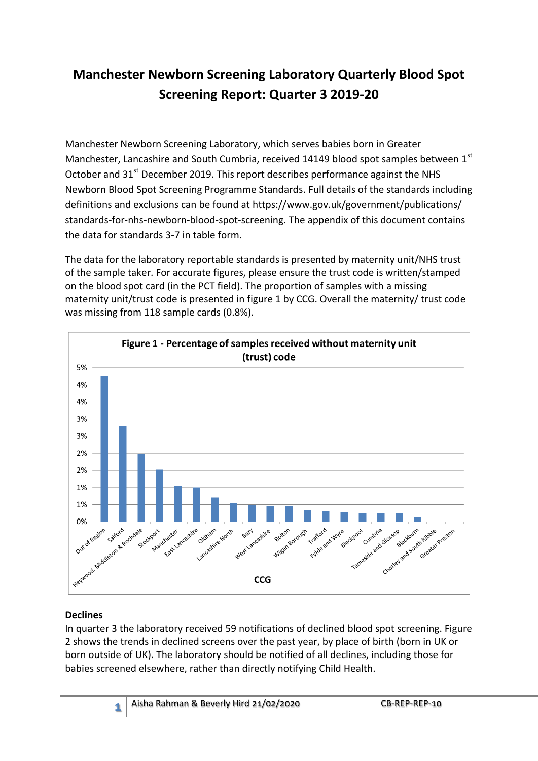# **Manchester Newborn Screening Laboratory Quarterly Blood Spot Screening Report: Quarter 3 2019-20**

Manchester Newborn Screening Laboratory, which serves babies born in Greater Manchester, Lancashire and South Cumbria, received 14149 blood spot samples between 1st October and  $31<sup>st</sup>$  December 2019. This report describes performance against the NHS Newborn Blood Spot Screening Programme Standards. Full details of the standards including definitions and exclusions can be found at https://www.gov.uk/government/publications/ standards-for-nhs-newborn-blood-spot-screening. The appendix of this document contains the data for standards 3-7 in table form.

The data for the laboratory reportable standards is presented by maternity unit/NHS trust of the sample taker. For accurate figures, please ensure the trust code is written/stamped on the blood spot card (in the PCT field). The proportion of samples with a missing maternity unit/trust code is presented in figure 1 by CCG. Overall the maternity/ trust code was missing from 118 sample cards (0.8%).



## **Declines**

In quarter 3 the laboratory received 59 notifications of declined blood spot screening. Figure 2 shows the trends in declined screens over the past year, by place of birth (born in UK or born outside of UK). The laboratory should be notified of all declines, including those for babies screened elsewhere, rather than directly notifying Child Health.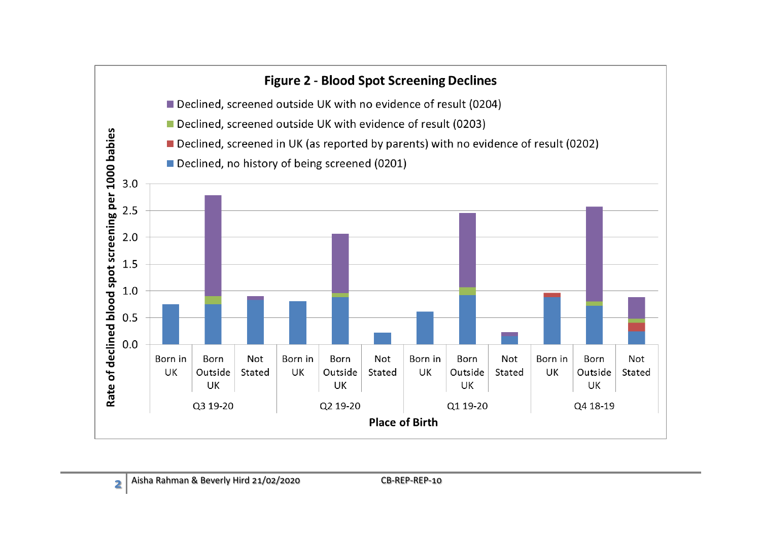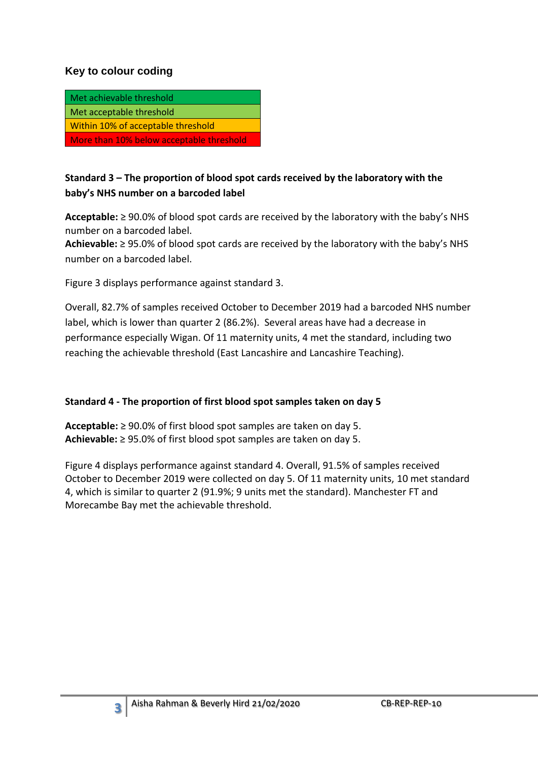#### **Key to colour coding**

| Met achievable threshold                 |
|------------------------------------------|
| Met acceptable threshold                 |
| Within 10% of acceptable threshold       |
| More than 10% below acceptable threshold |

#### **Standard 3 – The proportion of blood spot cards received by the laboratory with the baby's NHS number on a barcoded label**

**Acceptable:** ≥ 90.0% of blood spot cards are received by the laboratory with the baby's NHS number on a barcoded label.

**Achievable:** ≥ 95.0% of blood spot cards are received by the laboratory with the baby's NHS number on a barcoded label.

Figure 3 displays performance against standard 3.

Overall, 82.7% of samples received October to December 2019 had a barcoded NHS number label, which is lower than quarter 2 (86.2%). Several areas have had a decrease in performance especially Wigan. Of 11 maternity units, 4 met the standard, including two reaching the achievable threshold (East Lancashire and Lancashire Teaching).

#### **Standard 4 - The proportion of first blood spot samples taken on day 5**

**Acceptable:** ≥ 90.0% of first blood spot samples are taken on day 5. **Achievable:** ≥ 95.0% of first blood spot samples are taken on day 5.

Figure 4 displays performance against standard 4. Overall, 91.5% of samples received October to December 2019 were collected on day 5. Of 11 maternity units, 10 met standard 4, which is similar to quarter 2 (91.9%; 9 units met the standard). Manchester FT and Morecambe Bay met the achievable threshold.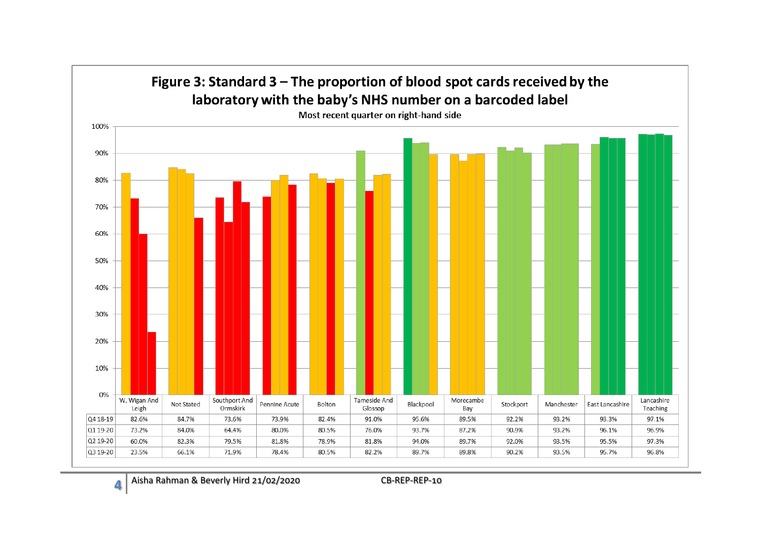

Aisha Rahman & Beverly Hird 21/02/2020 CB-REP-REP-10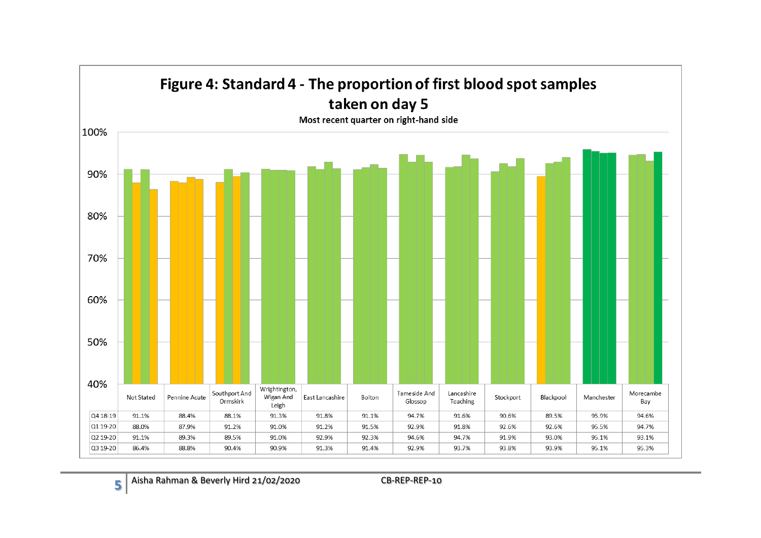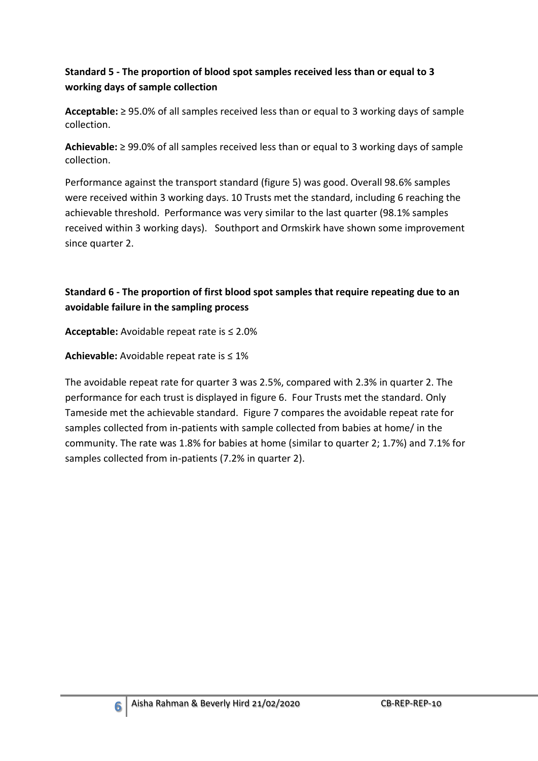## **Standard 5 - The proportion of blood spot samples received less than or equal to 3 working days of sample collection**

**Acceptable:** ≥ 95.0% of all samples received less than or equal to 3 working days of sample collection.

**Achievable:** ≥ 99.0% of all samples received less than or equal to 3 working days of sample collection.

Performance against the transport standard (figure 5) was good. Overall 98.6% samples were received within 3 working days. 10 Trusts met the standard, including 6 reaching the achievable threshold. Performance was very similar to the last quarter (98.1% samples received within 3 working days). Southport and Ormskirk have shown some improvement since quarter 2.

## **Standard 6 - The proportion of first blood spot samples that require repeating due to an avoidable failure in the sampling process**

**Acceptable:** Avoidable repeat rate is ≤ 2.0%

**Achievable:** Avoidable repeat rate is ≤ 1%

The avoidable repeat rate for quarter 3 was 2.5%, compared with 2.3% in quarter 2. The performance for each trust is displayed in figure 6. Four Trusts met the standard. Only Tameside met the achievable standard. Figure 7 compares the avoidable repeat rate for samples collected from in-patients with sample collected from babies at home/ in the community. The rate was 1.8% for babies at home (similar to quarter 2; 1.7%) and 7.1% for samples collected from in-patients (7.2% in quarter 2).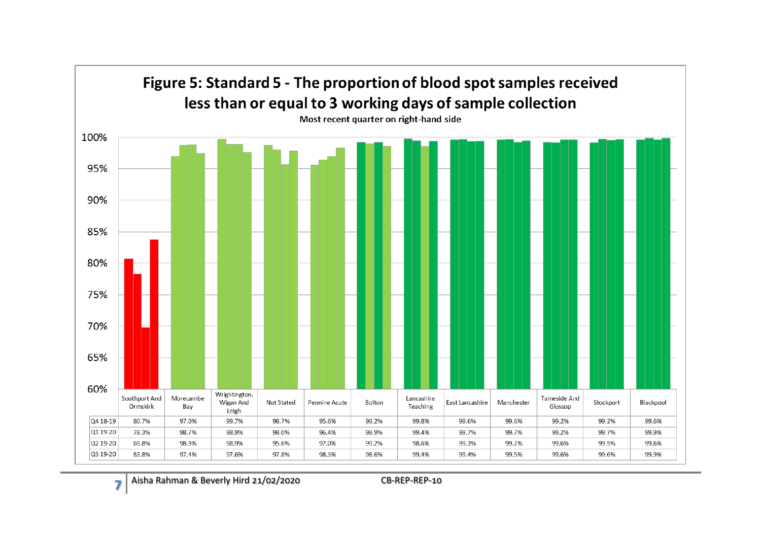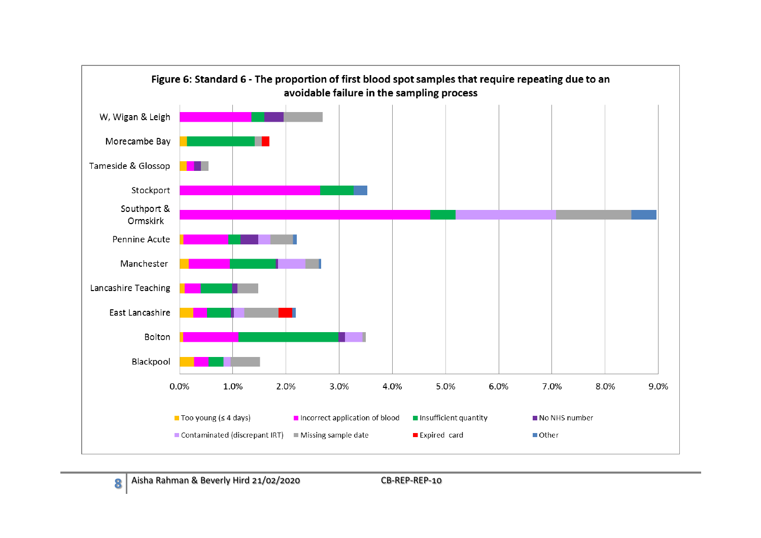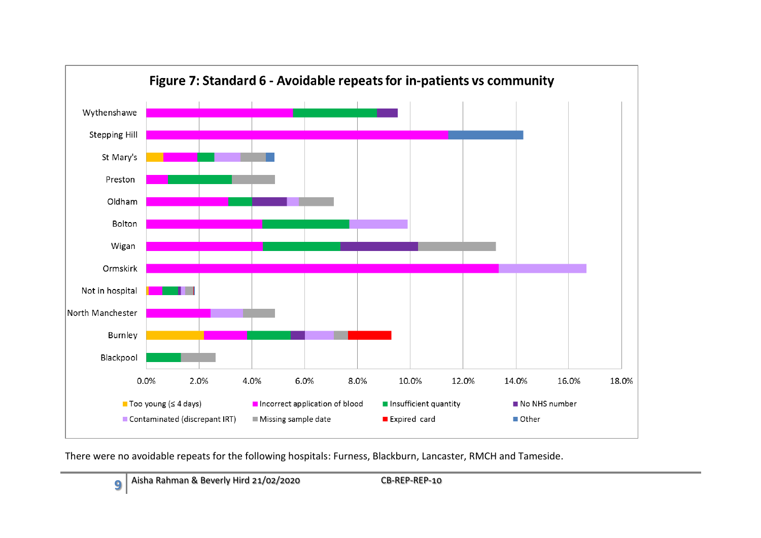

There were no avoidable repeats for the following hospitals: Furness, Blackburn, Lancaster, RMCH and Tameside.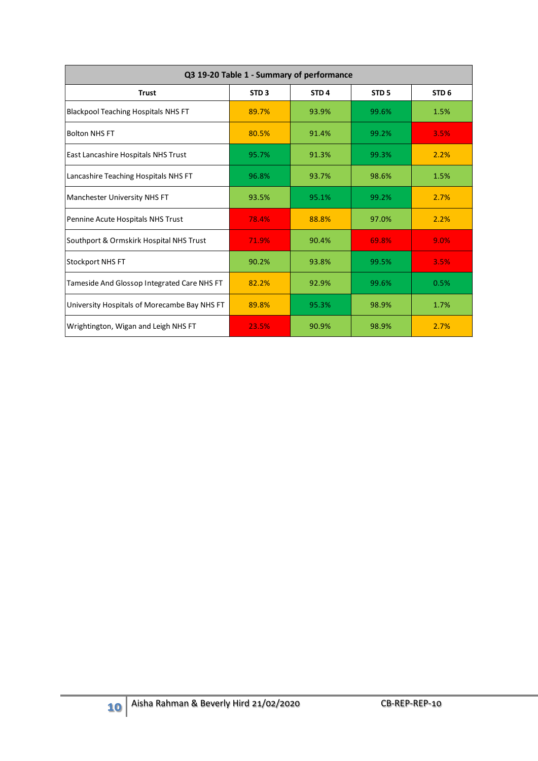| Q3 19-20 Table 1 - Summary of performance                     |                  |                  |                  |                  |  |  |  |  |  |  |  |
|---------------------------------------------------------------|------------------|------------------|------------------|------------------|--|--|--|--|--|--|--|
| <b>Trust</b>                                                  | STD <sub>3</sub> | STD <sub>4</sub> | STD <sub>5</sub> | STD <sub>6</sub> |  |  |  |  |  |  |  |
| <b>Blackpool Teaching Hospitals NHS FT</b>                    | 89.7%            | 93.9%            | 99.6%            | 1.5%             |  |  |  |  |  |  |  |
| <b>Bolton NHS FT</b>                                          | 80.5%            | 91.4%            | 99.2%            | 3.5%             |  |  |  |  |  |  |  |
| East Lancashire Hospitals NHS Trust                           | 95.7%            | 91.3%            | 99.3%            | 2.2%             |  |  |  |  |  |  |  |
| Lancashire Teaching Hospitals NHS FT                          | 96.8%            | 93.7%            | 98.6%            | 1.5%             |  |  |  |  |  |  |  |
| Manchester University NHS FT                                  | 93.5%            | 95.1%            | 99.2%            | 2.7%             |  |  |  |  |  |  |  |
| Pennine Acute Hospitals NHS Trust                             | 78.4%            | 88.8%            | 97.0%            | 2.2%             |  |  |  |  |  |  |  |
| Southport & Ormskirk Hospital NHS Trust                       | 71.9%            | 90.4%            | 69.8%            | 9.0%             |  |  |  |  |  |  |  |
| Stockport NHS FT                                              | 90.2%            | 93.8%            | 99.5%            | 3.5%             |  |  |  |  |  |  |  |
| Tameside And Glossop Integrated Care NHS FT                   | 82.2%            | 92.9%            | 99.6%            | 0.5%             |  |  |  |  |  |  |  |
| University Hospitals of Morecambe Bay NHS FT                  | 89.8%            | 95.3%            | 98.9%            | 1.7%             |  |  |  |  |  |  |  |
| Wrightington, Wigan and Leigh NHS FT                          | 23.5%            | 90.9%            | 98.9%            | 2.7%             |  |  |  |  |  |  |  |
|                                                               |                  |                  |                  |                  |  |  |  |  |  |  |  |
| Aisha Rahman & Beverly Hird 21/02/2020<br>CB-REP-REP-10<br>10 |                  |                  |                  |                  |  |  |  |  |  |  |  |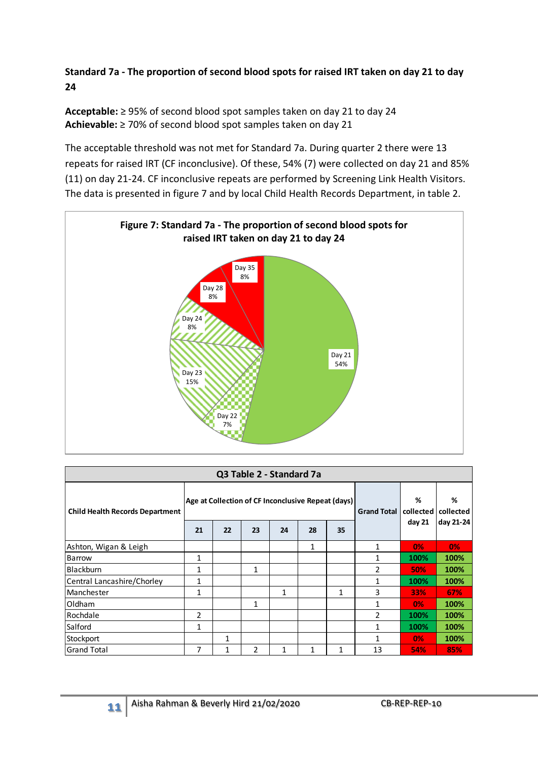## **Standard 7a - The proportion of second blood spots for raised IRT taken on day 21 to day 24**

**Acceptable:** ≥ 95% of second blood spot samples taken on day 21 to day 24 **Achievable:** ≥ 70% of second blood spot samples taken on day 21

The acceptable threshold was not met for Standard 7a. During quarter 2 there were 13 repeats for raised IRT (CF inconclusive). Of these, 54% (7) were collected on day 21 and 85% (11) on day 21-24. CF inconclusive repeats are performed by Screening Link Health Visitors. The data is presented in figure 7 and by local Child Health Records Department, in table 2.



| Q3 Table 2 - Standard 7a               |    |                                                    |    |              |                    |                |                |        |           |  |  |  |
|----------------------------------------|----|----------------------------------------------------|----|--------------|--------------------|----------------|----------------|--------|-----------|--|--|--|
| <b>Child Health Records Department</b> |    | Age at Collection of CF Inconclusive Repeat (days) |    |              | <b>Grand Total</b> | %<br>collected | %<br>collected |        |           |  |  |  |
|                                        | 21 | 22                                                 | 23 | 24           | 28                 | 35             |                | day 21 | day 21-24 |  |  |  |
| Ashton, Wigan & Leigh                  |    |                                                    |    |              | $\mathbf{1}$       |                | 1              | 0%     | 0%        |  |  |  |
| <b>Barrow</b>                          | 1  |                                                    |    |              |                    |                | 1              | 100%   | 100%      |  |  |  |
| <b>Blackburn</b>                       | 1  |                                                    | 1  |              |                    |                | $\overline{2}$ | 50%    | 100%      |  |  |  |
| Central Lancashire/Chorley             | 1  |                                                    |    |              |                    |                |                | 100%   | 100%      |  |  |  |
| Manchester                             | 1  |                                                    |    | 1            |                    | 1              | 3              | 33%    | 67%       |  |  |  |
| Oldham                                 |    |                                                    | 1  |              |                    |                |                | 0%     | 100%      |  |  |  |
| Rochdale                               | 2  |                                                    |    |              |                    |                | $\mathfrak{p}$ | 100%   | 100%      |  |  |  |
| Salford                                | 1  |                                                    |    |              |                    |                |                | 100%   | 100%      |  |  |  |
| Stockport                              |    | 1                                                  |    |              |                    |                |                | 0%     | 100%      |  |  |  |
| <b>Grand Total</b>                     | 7  | 1                                                  | 2  | $\mathbf{1}$ | 1                  | 1              | 13             | 54%    | 85%       |  |  |  |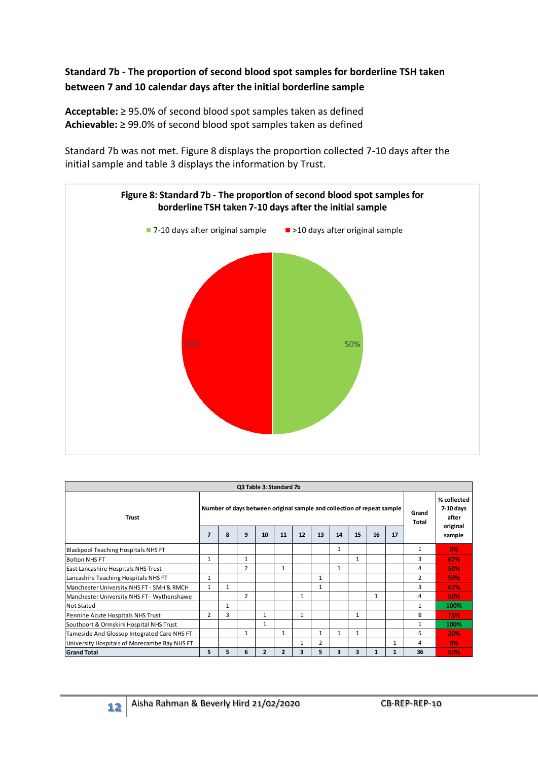### **Standard 7b - The proportion of second blood spot samples for borderline TSH taken between 7 and 10 calendar days after the initial borderline sample**

**Acceptable:** ≥ 95.0% of second blood spot samples taken as defined **Achievable:** ≥ 99.0% of second blood spot samples taken as defined

Standard 7b was not met. Figure 8 displays the proportion collected 7-10 days after the initial sample and table 3 displays the information by Trust.



|                                              | Q3 Table 3: Standard 7b                                                |   |                |                |                |              |                |    |              |    |              |                |                                   |  |
|----------------------------------------------|------------------------------------------------------------------------|---|----------------|----------------|----------------|--------------|----------------|----|--------------|----|--------------|----------------|-----------------------------------|--|
| <b>Trust</b>                                 | Number of days between original sample and collection of repeat sample |   |                |                |                |              |                |    |              |    |              | Grand<br>Total | % collected<br>7-10 days<br>after |  |
|                                              | 7                                                                      | 8 | 9              | 10             | 11             | 12           | 13             | 14 | 15           | 16 | 17           |                | original<br>sample                |  |
| <b>Blackpool Teaching Hospitals NHS FT</b>   |                                                                        |   |                |                |                |              |                | 1  |              |    |              | $\mathbf{1}$   | 0%                                |  |
| <b>Bolton NHS FT</b>                         | 1                                                                      |   | 1              |                |                |              |                |    | 1            |    |              | 3              | 67%                               |  |
| East Lancashire Hospitals NHS Trust          |                                                                        |   | 2              |                | 1              |              |                | 1  |              |    |              | 4              | 50%                               |  |
| Lancashire Teaching Hospitals NHS FT         | 1                                                                      |   |                |                |                |              | $\mathbf{1}$   |    |              |    |              | $\overline{2}$ | 50%                               |  |
| Manchester University NHS FT - SMH & RMCH    | $\mathbf{1}$                                                           | 1 |                |                |                |              | $\mathbf{1}$   |    |              |    |              | 3              | 67%                               |  |
| Manchester University NHS FT - Wythenshawe   |                                                                        |   | $\overline{2}$ |                |                | $\mathbf{1}$ |                |    |              |    |              | 4              | 50%                               |  |
| <b>Not Stated</b>                            |                                                                        | 1 |                |                |                |              |                |    |              |    |              |                | 100%                              |  |
| Pennine Acute Hospitals NHS Trust            | $\overline{2}$                                                         | 3 |                | 1              |                | 1            |                |    | 1            |    |              | 8              | 75%                               |  |
| Southport & Ormskirk Hospital NHS Trust      |                                                                        |   |                | 1              |                |              |                |    |              |    |              | $\mathbf{1}$   | 100%                              |  |
| Tameside And Glossop Integrated Care NHS FT  |                                                                        |   | $\mathbf{1}$   |                | 1              |              | 1              | 1  | $\mathbf{1}$ |    |              | 5              | 20%                               |  |
| University Hospitals of Morecambe Bay NHS FT |                                                                        |   |                |                |                | 1            | $\overline{2}$ |    |              |    | 1            | 4              | 0%                                |  |
| <b>Grand Total</b>                           | 5                                                                      | 5 | 6              | $\overline{2}$ | $\overline{2}$ | 3            | 5              | 3  | 3            |    | $\mathbf{1}$ | 36             | 50%                               |  |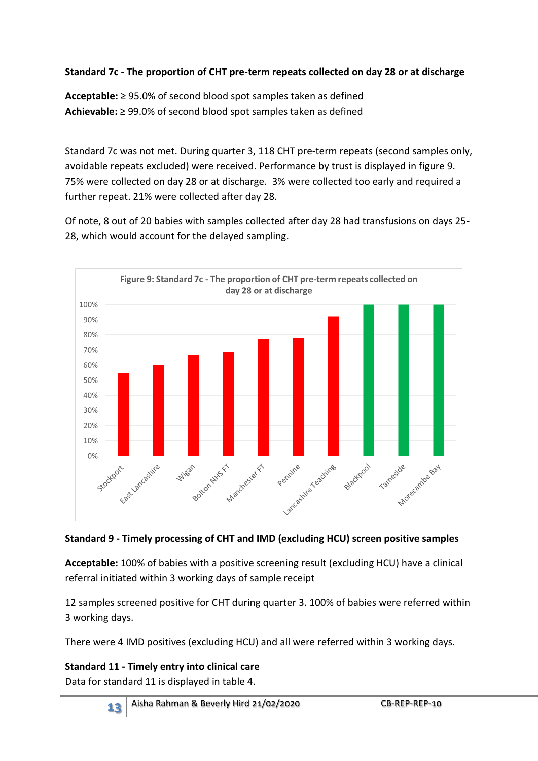## **Standard 7c - The proportion of CHT pre-term repeats collected on day 28 or at discharge**

**Acceptable:** ≥ 95.0% of second blood spot samples taken as defined **Achievable:** ≥ 99.0% of second blood spot samples taken as defined

Standard 7c was not met. During quarter 3, 118 CHT pre-term repeats (second samples only, avoidable repeats excluded) were received. Performance by trust is displayed in figure 9. 75% were collected on day 28 or at discharge. 3% were collected too early and required a further repeat. 21% were collected after day 28.

Of note, 8 out of 20 babies with samples collected after day 28 had transfusions on days 25- 28, which would account for the delayed sampling.



#### **Standard 9 - Timely processing of CHT and IMD (excluding HCU) screen positive samples**

**Acceptable:** 100% of babies with a positive screening result (excluding HCU) have a clinical referral initiated within 3 working days of sample receipt

12 samples screened positive for CHT during quarter 3. 100% of babies were referred within 3 working days.

There were 4 IMD positives (excluding HCU) and all were referred within 3 working days.

**Standard 11 - Timely entry into clinical care**

Data for standard 11 is displayed in table 4.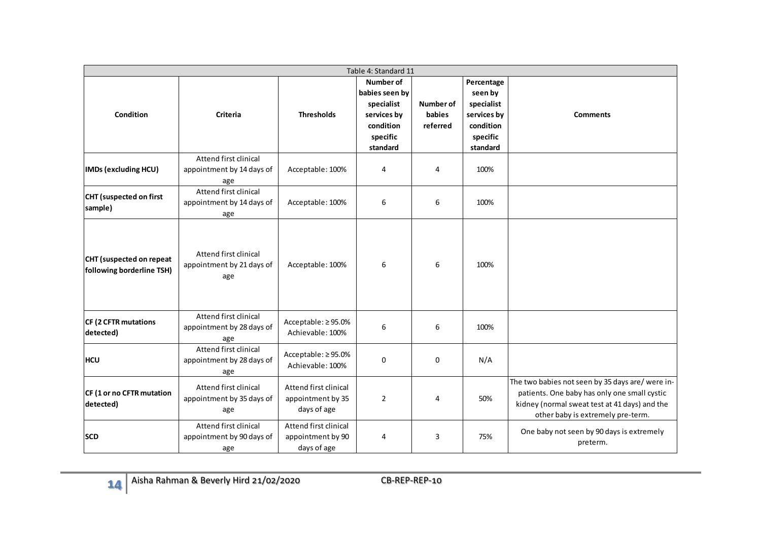|                                                       |                                                           |                                                           | Number of                                                                        |                                 | Percentage                                                                |                                                                                                                                                                                        |
|-------------------------------------------------------|-----------------------------------------------------------|-----------------------------------------------------------|----------------------------------------------------------------------------------|---------------------------------|---------------------------------------------------------------------------|----------------------------------------------------------------------------------------------------------------------------------------------------------------------------------------|
| Condition                                             | <b>Criteria</b>                                           | <b>Thresholds</b>                                         | babies seen by<br>specialist<br>services by<br>condition<br>specific<br>standard | Number of<br>babies<br>referred | seen by<br>specialist<br>services by<br>condition<br>specific<br>standard | <b>Comments</b>                                                                                                                                                                        |
| IMDs (excluding HCU)                                  | Attend first clinical<br>appointment by 14 days of<br>age | Acceptable: 100%                                          | 4                                                                                | 4                               | 100%                                                                      |                                                                                                                                                                                        |
| <b>CHT</b> (suspected on first<br>sample)             | Attend first clinical<br>appointment by 14 days of<br>age | Acceptable: 100%                                          | 6                                                                                | 6                               | 100%                                                                      |                                                                                                                                                                                        |
| CHT (suspected on repeat<br>following borderline TSH) | Attend first clinical<br>appointment by 21 days of<br>age | Acceptable: 100%                                          | 6                                                                                | 6                               | 100%                                                                      |                                                                                                                                                                                        |
| CF (2 CFTR mutations<br>detected)                     | Attend first clinical<br>appointment by 28 days of<br>age | Acceptable: ≥95.0%<br>Achievable: 100%                    | 6                                                                                | 6                               | 100%                                                                      |                                                                                                                                                                                        |
| <b>HCU</b>                                            | Attend first clinical<br>appointment by 28 days of<br>age | Acceptable: ≥95.0%<br>Achievable: 100%                    | $\mathbf 0$                                                                      | $\mathbf 0$                     | N/A                                                                       |                                                                                                                                                                                        |
| CF (1 or no CFTR mutation<br>detected)                | Attend first clinical<br>appointment by 35 days of<br>age | Attend first clinical<br>appointment by 35<br>days of age | $\overline{2}$                                                                   | 4                               | 50%                                                                       | The two babies not seen by 35 days are/ were in-<br>patients. One baby has only one small cystic<br>kidney (normal sweat test at 41 days) and the<br>other baby is extremely pre-term. |
| <b>SCD</b>                                            | Attend first clinical<br>appointment by 90 days of<br>age | Attend first clinical<br>appointment by 90<br>days of age | 4                                                                                | 3                               | 75%                                                                       | One baby not seen by 90 days is extremely<br>preterm.                                                                                                                                  |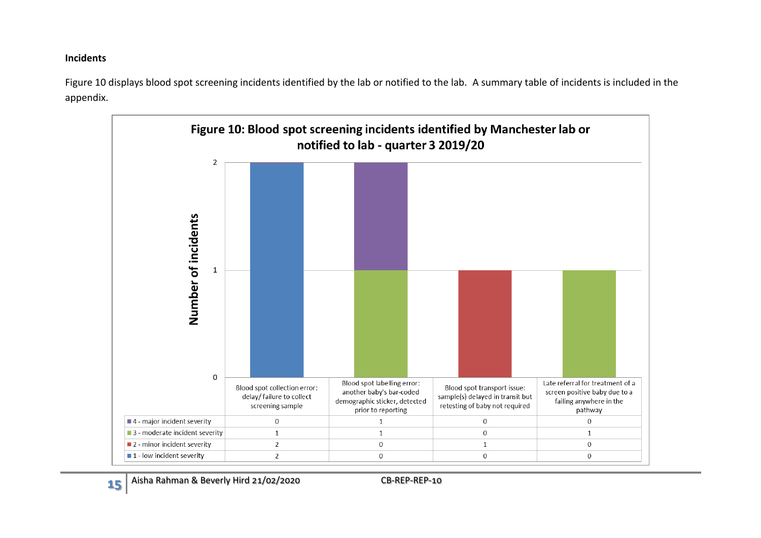#### **Incidents**

Figure 10 displays blood spot screening incidents identified by the lab or notified to the lab. A summary table of incidents is included in the appendix.

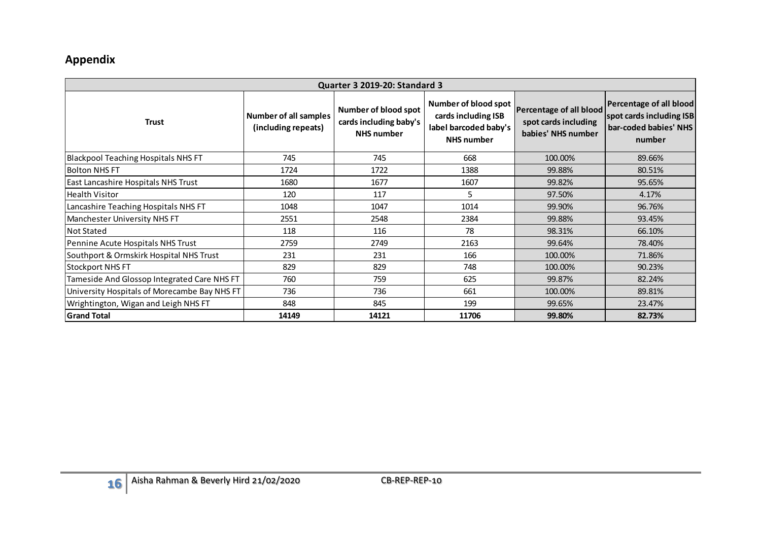## **Appendix**

| <b>Quarter 3 2019-20: Standard 3</b>         |                                                     |                                                                     |                                                                                           |                                                                       |                                                                                        |  |  |  |  |  |  |
|----------------------------------------------|-----------------------------------------------------|---------------------------------------------------------------------|-------------------------------------------------------------------------------------------|-----------------------------------------------------------------------|----------------------------------------------------------------------------------------|--|--|--|--|--|--|
| <b>Trust</b>                                 | <b>Number of all samples</b><br>(including repeats) | Number of blood spot<br>cards including baby's<br><b>NHS number</b> | Number of blood spot<br>cards including ISB<br>label barcoded baby's<br><b>NHS number</b> | Percentage of all blood<br>spot cards including<br>babies' NHS number | Percentage of all blood<br>spot cards including ISB<br>bar-coded babies' NHS<br>number |  |  |  |  |  |  |
| <b>Blackpool Teaching Hospitals NHS FT</b>   | 745                                                 | 745                                                                 | 668                                                                                       | 100.00%                                                               | 89.66%                                                                                 |  |  |  |  |  |  |
| <b>Bolton NHS FT</b>                         | 1724                                                | 1722                                                                | 1388                                                                                      | 99.88%                                                                | 80.51%                                                                                 |  |  |  |  |  |  |
| East Lancashire Hospitals NHS Trust          | 1680                                                | 1677                                                                | 1607                                                                                      | 99.82%                                                                | 95.65%                                                                                 |  |  |  |  |  |  |
| Health Visitor                               | 120                                                 | 117                                                                 | 5                                                                                         | 97.50%                                                                | 4.17%                                                                                  |  |  |  |  |  |  |
| Lancashire Teaching Hospitals NHS FT         | 1048                                                | 1047                                                                | 1014                                                                                      | 99.90%                                                                | 96.76%                                                                                 |  |  |  |  |  |  |
| Manchester University NHS FT                 | 2551                                                | 2548                                                                | 2384                                                                                      | 99.88%                                                                | 93.45%                                                                                 |  |  |  |  |  |  |
| <b>Not Stated</b>                            | 118                                                 | 116                                                                 | 78                                                                                        | 98.31%                                                                | 66.10%                                                                                 |  |  |  |  |  |  |
| Pennine Acute Hospitals NHS Trust            | 2759                                                | 2749                                                                | 2163                                                                                      | 99.64%                                                                | 78.40%                                                                                 |  |  |  |  |  |  |
| Southport & Ormskirk Hospital NHS Trust      | 231                                                 | 231                                                                 | 166                                                                                       | 100.00%                                                               | 71.86%                                                                                 |  |  |  |  |  |  |
| <b>Stockport NHS FT</b>                      | 829                                                 | 829                                                                 | 748                                                                                       | 100.00%                                                               | 90.23%                                                                                 |  |  |  |  |  |  |
| Tameside And Glossop Integrated Care NHS FT  | 760                                                 | 759                                                                 | 625                                                                                       | 99.87%                                                                | 82.24%                                                                                 |  |  |  |  |  |  |
| University Hospitals of Morecambe Bay NHS FT | 736                                                 | 736                                                                 | 661                                                                                       | 100.00%                                                               | 89.81%                                                                                 |  |  |  |  |  |  |
| Wrightington, Wigan and Leigh NHS FT         | 848                                                 | 845                                                                 | 199                                                                                       | 99.65%                                                                | 23.47%                                                                                 |  |  |  |  |  |  |
| <b>Grand Total</b>                           | 14149                                               | 14121                                                               | 11706                                                                                     | 99.80%                                                                | 82.73%                                                                                 |  |  |  |  |  |  |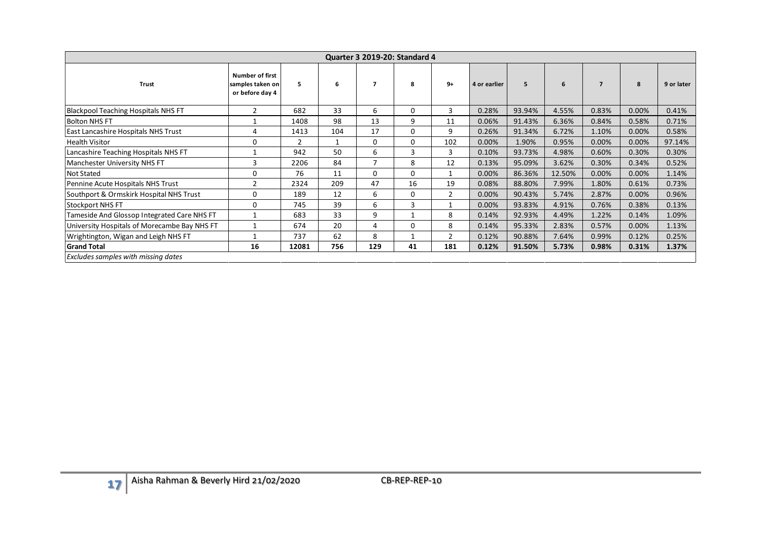|                                              |                                                               |                |              | <b>Quarter 3 2019-20: Standard 4</b> |                |                |              |        |        |                |       |            |
|----------------------------------------------|---------------------------------------------------------------|----------------|--------------|--------------------------------------|----------------|----------------|--------------|--------|--------|----------------|-------|------------|
| <b>Trust</b>                                 | <b>Number of first</b><br>samples taken on<br>or before day 4 | 5              | 6            | $\overline{7}$                       | 8              | $9+$           | 4 or earlier | 5      | 6      | $\overline{7}$ | 8     | 9 or later |
| Blackpool Teaching Hospitals NHS FT          | $\overline{2}$                                                | 682            | 33           | 6                                    | 0              | 3              | 0.28%        | 93.94% | 4.55%  | 0.83%          | 0.00% | 0.41%      |
| <b>Bolton NHS FT</b>                         | $\mathbf{1}$                                                  | 1408           | 98           | 13                                   | 9              | 11             | 0.06%        | 91.43% | 6.36%  | 0.84%          | 0.58% | 0.71%      |
| East Lancashire Hospitals NHS Trust          | 4                                                             | 1413           | 104          | 17                                   | $\mathbf 0$    | 9              | 0.26%        | 91.34% | 6.72%  | 1.10%          | 0.00% | 0.58%      |
| <b>Health Visitor</b>                        | $\mathbf 0$                                                   | $\overline{2}$ | $\mathbf{1}$ | $\mathbf 0$                          | $\mathbf 0$    | 102            | 0.00%        | 1.90%  | 0.95%  | 0.00%          | 0.00% | 97.14%     |
| Lancashire Teaching Hospitals NHS FT         | $\mathbf{1}$                                                  | 942            | 50           | $\sqrt{6}$                           | $\overline{3}$ | $\overline{3}$ | 0.10%        | 93.73% | 4.98%  | 0.60%          | 0.30% | 0.30%      |
| Manchester University NHS FT                 | $\overline{3}$                                                | 2206           | 84           | $\overline{7}$                       | 8              | 12             | 0.13%        | 95.09% | 3.62%  | 0.30%          | 0.34% | 0.52%      |
| <b>Not Stated</b>                            | $\mathbf 0$                                                   | 76             | 11           | $\mathbf 0$                          | $\mathbf 0$    | $\mathbf{1}$   | 0.00%        | 86.36% | 12.50% | 0.00%          | 0.00% | 1.14%      |
| Pennine Acute Hospitals NHS Trust            | $\overline{2}$                                                | 2324           | 209          | 47                                   | 16             | 19             | 0.08%        | 88.80% | 7.99%  | 1.80%          | 0.61% | 0.73%      |
| Southport & Ormskirk Hospital NHS Trust      | $\mathbf 0$                                                   | 189            | 12           | 6                                    | $\mathbf{0}$   | $\overline{2}$ | 0.00%        | 90.43% | 5.74%  | 2.87%          | 0.00% | 0.96%      |
| <b>Stockport NHS FT</b>                      | $\mathbf 0$                                                   | 745            | 39           | 6                                    | $\overline{3}$ | $\mathbf{1}$   | 0.00%        | 93.83% | 4.91%  | 0.76%          | 0.38% | 0.13%      |
| Tameside And Glossop Integrated Care NHS FT  | $\mathbf{1}$                                                  | 683            | 33           | 9                                    | $\mathbf 1$    | $\,8\,$        | 0.14%        | 92.93% | 4.49%  | 1.22%          | 0.14% | 1.09%      |
| University Hospitals of Morecambe Bay NHS FT | $\mathbf{1}$                                                  | 674            | 20           | $\overline{4}$                       | $\mathbf 0$    | 8              | 0.14%        | 95.33% | 2.83%  | 0.57%          | 0.00% | 1.13%      |
| Wrightington, Wigan and Leigh NHS FT         | $\mathbf{1}$                                                  | 737            | 62           | 8                                    | $\mathbf{1}$   | $\overline{2}$ | 0.12%        | 90.88% | 7.64%  | 0.99%          | 0.12% | 0.25%      |
| <b>Grand Total</b>                           | 16                                                            | 12081          | 756          | 129                                  | 41             | 181            | 0.12%        | 91.50% | 5.73%  | 0.98%          | 0.31% | 1.37%      |
| Excludes samples with missing dates          |                                                               |                |              |                                      |                |                |              |        |        |                |       |            |
|                                              |                                                               |                |              |                                      |                |                |              |        |        |                |       |            |
| Aisha Rahman & Beverly Hird 21/02/2020<br>17 |                                                               |                |              |                                      | CB-REP-REP-10  |                |              |        |        |                |       |            |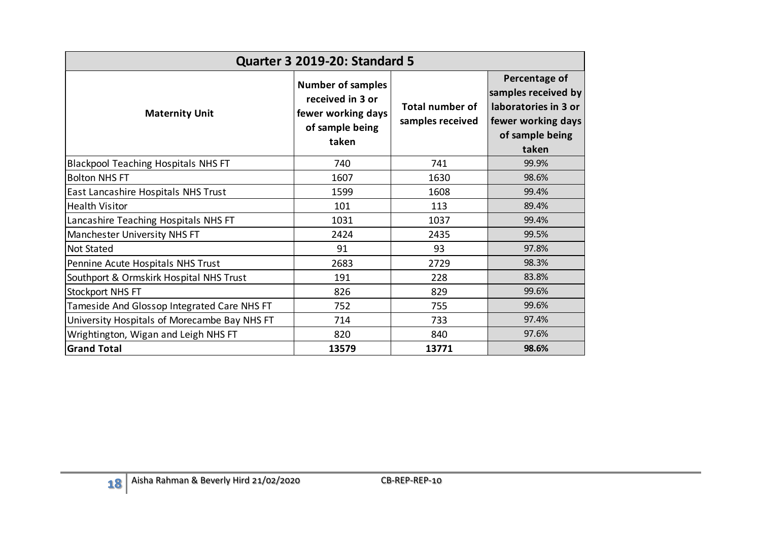| <b>Quarter 3 2019-20: Standard 5</b>         |                                                                                                |                                            |                                                                                                                |  |  |  |  |  |  |  |
|----------------------------------------------|------------------------------------------------------------------------------------------------|--------------------------------------------|----------------------------------------------------------------------------------------------------------------|--|--|--|--|--|--|--|
| <b>Maternity Unit</b>                        | <b>Number of samples</b><br>received in 3 or<br>fewer working days<br>of sample being<br>taken | <b>Total number of</b><br>samples received | Percentage of<br>samples received by<br>laboratories in 3 or<br>fewer working days<br>of sample being<br>taken |  |  |  |  |  |  |  |
| <b>Blackpool Teaching Hospitals NHS FT</b>   | 740                                                                                            | 741                                        | 99.9%                                                                                                          |  |  |  |  |  |  |  |
| <b>Bolton NHS FT</b>                         | 1607                                                                                           | 1630                                       | 98.6%                                                                                                          |  |  |  |  |  |  |  |
| East Lancashire Hospitals NHS Trust          | 1599                                                                                           | 1608                                       | 99.4%                                                                                                          |  |  |  |  |  |  |  |
| <b>Health Visitor</b>                        | 101                                                                                            | 113                                        | 89.4%                                                                                                          |  |  |  |  |  |  |  |
| Lancashire Teaching Hospitals NHS FT         | 1031                                                                                           | 1037                                       | 99.4%                                                                                                          |  |  |  |  |  |  |  |
| Manchester University NHS FT                 | 2424                                                                                           | 2435                                       | 99.5%                                                                                                          |  |  |  |  |  |  |  |
| <b>Not Stated</b>                            | 91                                                                                             | 93                                         | 97.8%                                                                                                          |  |  |  |  |  |  |  |
| Pennine Acute Hospitals NHS Trust            | 2683                                                                                           | 2729                                       | 98.3%                                                                                                          |  |  |  |  |  |  |  |
| Southport & Ormskirk Hospital NHS Trust      | 191                                                                                            | 228                                        | 83.8%                                                                                                          |  |  |  |  |  |  |  |
| <b>Stockport NHS FT</b>                      | 826                                                                                            | 829                                        | 99.6%                                                                                                          |  |  |  |  |  |  |  |
| Tameside And Glossop Integrated Care NHS FT  | 752                                                                                            | 755                                        | 99.6%                                                                                                          |  |  |  |  |  |  |  |
| University Hospitals of Morecambe Bay NHS FT | 714                                                                                            | 733                                        | 97.4%                                                                                                          |  |  |  |  |  |  |  |
| Wrightington, Wigan and Leigh NHS FT         | 820                                                                                            | 840                                        | 97.6%                                                                                                          |  |  |  |  |  |  |  |
| <b>Grand Total</b>                           | 13579                                                                                          | 13771                                      | 98.6%                                                                                                          |  |  |  |  |  |  |  |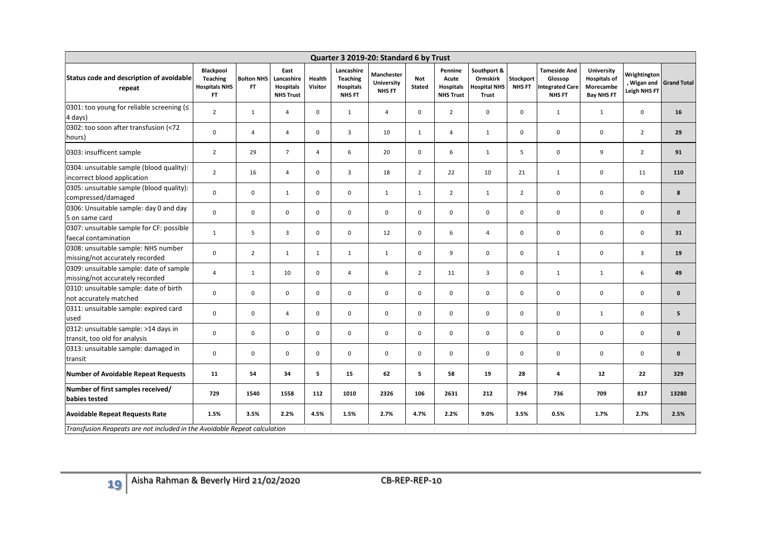|                                                                            |                                                                   |                                |                                                            |                   |                                                                    | Quarter 3 2019-20: Standard 6 by Trust           |                             |                                                          |                                                                |                            |                                                                           |                                                                     |                                             |                    |
|----------------------------------------------------------------------------|-------------------------------------------------------------------|--------------------------------|------------------------------------------------------------|-------------------|--------------------------------------------------------------------|--------------------------------------------------|-----------------------------|----------------------------------------------------------|----------------------------------------------------------------|----------------------------|---------------------------------------------------------------------------|---------------------------------------------------------------------|---------------------------------------------|--------------------|
| Status code and description of avoidable<br>repeat                         | Blackpool<br><b>Teaching</b><br><b>Hospitals NHS</b><br><b>FT</b> | <b>Bolton NHS</b><br><b>FT</b> | East<br>Lancashire<br><b>Hospitals</b><br><b>NHS Trust</b> | Health<br>Visitor | Lancashire<br><b>Teaching</b><br><b>Hospitals</b><br><b>NHS FT</b> | <b>Manchester</b><br>University<br><b>NHS FT</b> | <b>Not</b><br><b>Stated</b> | Pennine<br>Acute<br><b>Hospitals</b><br><b>NHS Trust</b> | Southport &<br><b>Ormskirk</b><br><b>Hospital NHS</b><br>Trust | Stockport<br><b>NHS FT</b> | <b>Tameside And</b><br>Glossop<br><b>Integrated Care</b><br><b>NHS FT</b> | University<br><b>Hospitals of</b><br>Morecambe<br><b>Bay NHS FT</b> | Wrightington<br>, Wigan and<br>Leigh NHS FT | <b>Grand Total</b> |
| 0301: too young for reliable screening ( $\leq$<br>4 days)                 | $\overline{2}$                                                    | $\mathbf{1}$                   | $\overline{4}$                                             | $\mathbf 0$       | $\mathbf{1}$                                                       | $\overline{4}$                                   | $\mathbf 0$                 | $\overline{2}$                                           | $\mathbf 0$                                                    | $\pmb{0}$                  | $\mathbf{1}$                                                              | $\mathbf{1}$                                                        | $\mathbf 0$                                 | 16                 |
| 0302: too soon after transfusion (<72<br>hours)                            | $\mathbf 0$                                                       | $\overline{4}$                 | $\overline{4}$                                             | $\mathbf 0$       | $\overline{3}$                                                     | 10                                               | $\mathbf{1}$                | $\overline{4}$                                           | $\mathbf{1}$                                                   | $\pmb{0}$                  | $\mathbf 0$                                                               | $\mathbf 0$                                                         | $\overline{2}$                              | 29                 |
| 0303: insufficent sample                                                   | $\overline{2}$                                                    | 29                             | $\overline{7}$                                             | $\overline{4}$    | 6                                                                  | 20                                               | $\mathbf 0$                 | 6                                                        | $\mathbf{1}$                                                   | 5                          | $\mathbf 0$                                                               | 9                                                                   | $\overline{2}$                              | 91                 |
| 0304: unsuitable sample (blood quality):<br>incorrect blood application    | $\overline{2}$                                                    | 16                             | $\overline{4}$                                             | 0                 | 3                                                                  | 18                                               | $\overline{2}$              | 22                                                       | 10                                                             | 21                         | $\mathbf{1}$                                                              | $\pmb{0}$                                                           | 11                                          | 110                |
| 0305: unsuitable sample (blood quality):<br>compressed/damaged             | $\mathbf 0$                                                       | 0                              | $\mathbf{1}$                                               | $\mathbf 0$       | $\mathbf 0$                                                        | $\mathbf{1}$                                     | $\mathbf{1}$                | $\overline{2}$                                           | $\mathbf{1}$                                                   | $\overline{2}$             | $\mathbf 0$                                                               | $\pmb{0}$                                                           | $\mathsf{O}\phantom{0}$                     | 8                  |
| 0306: Unsuitable sample: day 0 and day<br>5 on same card                   | 0                                                                 | 0                              | $\mathbf 0$                                                | 0                 | $\mathbf 0$                                                        | $\mathsf 0$                                      | $\mathsf 0$                 | 0                                                        | 0                                                              | $\pmb{0}$                  | $\mathbf 0$                                                               | $\pmb{0}$                                                           | $\mathsf{O}\phantom{0}$                     | $\mathbf 0$        |
| 0307: unsuitable sample for CF: possible<br>faecal contamination           | $\mathbf{1}$                                                      | 5                              | $\overline{3}$                                             | $\mathbf 0$       | $\mathsf 0$                                                        | 12                                               | $\mathbf 0$                 | 6                                                        | 4                                                              | $\mathsf 0$                | $\mathsf 0$                                                               | $\pmb{0}$                                                           | $\mathbf 0$                                 | 31                 |
| 0308: unsuitable sample: NHS number<br>missing/not accurately recorded     | $\Omega$                                                          | $\overline{2}$                 | $\mathbf{1}$                                               | 1                 | $\mathbf{1}$                                                       | $\mathbf{1}$                                     | $\mathbf 0$                 | 9                                                        | $\mathbf 0$                                                    | $\mathbf 0$                | $\mathbf{1}$                                                              | $\mathbf 0$                                                         | $\overline{3}$                              | 19                 |
| 0309: unsuitable sample: date of sample<br>missing/not accurately recorded | $\overline{a}$                                                    | $\mathbf{1}$                   | 10                                                         | 0                 | $\overline{4}$                                                     | 6                                                | $\overline{2}$              | 11                                                       | 3                                                              | $\mathbf 0$                | $\mathbf{1}$                                                              | $\mathbf{1}$                                                        | 6                                           | 49                 |
| 0310: unsuitable sample: date of birth<br>not accurately matched           | $\mathbf 0$                                                       | $\mathbf 0$                    | $\mathbf{0}$                                               | 0                 | $\mathbf 0$                                                        | $\mathbf 0$                                      | $\mathbf 0$                 | $\mathbf 0$                                              | $\mathbf 0$                                                    | $\mathbf 0$                | $\mathbf 0$                                                               | $\pmb{0}$                                                           | $\mathbf 0$                                 | $\mathbf{0}$       |
| 0311: unsuitable sample: expired card<br>used                              | $\mathbf 0$                                                       | 0                              | $\overline{4}$                                             | 0                 | $\mathbf 0$                                                        | $\pmb{0}$                                        | $\mathbf 0$                 | $\mathbf 0$                                              | $\mathbf 0$                                                    | $\mathbf 0$                | $\mathbf 0$                                                               | $\mathbf{1}$                                                        | $\mathsf{O}\phantom{0}$                     | 5                  |
| 0312: unsuitable sample: >14 days in<br>transit, too old for analysis      | $\mathbf 0$                                                       | 0                              | $\mathbf 0$                                                | 0                 | $\mathbf 0$                                                        | $\pmb{0}$                                        | 0                           | $\mathbf 0$                                              | 0                                                              | $\pmb{0}$                  | $\mathbf 0$                                                               | $\pmb{0}$                                                           | $\mathbf 0$                                 | $\mathbf{0}$       |
| 0313: unsuitable sample: damaged in<br>transit                             | $\mathbf 0$                                                       | 0                              | $\mathbf 0$                                                | 0                 | $\mathbf 0$                                                        | $\mathbf 0$                                      | $\mathbf 0$                 | $\mathbf 0$                                              | 0                                                              | $\mathbf 0$                | $\mathbf 0$                                                               | $\mathbf 0$                                                         | $\mathbf 0$                                 | $\mathbf{0}$       |
| <b>Number of Avoidable Repeat Requests</b>                                 | 11                                                                | 54                             | 34                                                         | 5                 | $15\phantom{.0}$                                                   | 62                                               | 5                           | 58                                                       | 19                                                             | 28                         | $\overline{\mathbf{4}}$                                                   | 12                                                                  | 22                                          | 329                |
| Number of first samples received/<br>babies tested                         | 729                                                               | 1540                           | 1558                                                       | 112               | 1010                                                               | 2326                                             | 106                         | 2631                                                     | 212                                                            | 794                        | 736                                                                       | 709                                                                 | 817                                         | 13280              |
| <b>Avoidable Repeat Requests Rate</b>                                      | 1.5%                                                              | 3.5%                           | 2.2%                                                       | 4.5%              | 1.5%                                                               | 2.7%                                             | 4.7%                        | 2.2%                                                     | 9.0%                                                           | 3.5%                       | 0.5%                                                                      | 1.7%                                                                | 2.7%                                        | 2.5%               |
| Transfusion Reapeats are not included in the Avoidable Repeat calculation  |                                                                   |                                |                                                            |                   |                                                                    |                                                  |                             |                                                          |                                                                |                            |                                                                           |                                                                     |                                             |                    |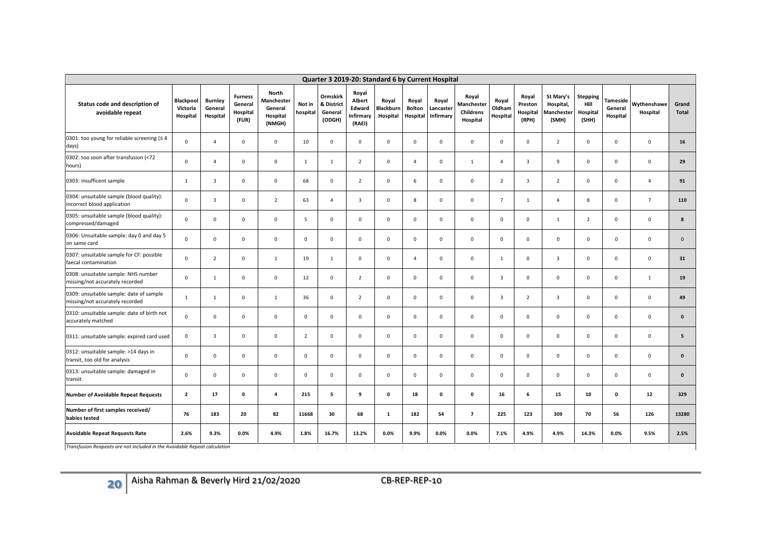| Quarter 3 2019-20: Standard 6 by Current Hospital                          |                                          |                                       |                                                |                                                             |                    |                                             |                                                 |                                       |                                    |                                 |                                                     |                             |                                       |                                               |                                              |                                 |                         |                       |
|----------------------------------------------------------------------------|------------------------------------------|---------------------------------------|------------------------------------------------|-------------------------------------------------------------|--------------------|---------------------------------------------|-------------------------------------------------|---------------------------------------|------------------------------------|---------------------------------|-----------------------------------------------------|-----------------------------|---------------------------------------|-----------------------------------------------|----------------------------------------------|---------------------------------|-------------------------|-----------------------|
| Status code and description of<br>avoidable repeat                         | <b>Blackpool</b><br>Victoria<br>Hospital | <b>Burnley</b><br>General<br>Hospital | <b>Furness</b><br>General<br>Hospital<br>(FUR) | <b>North</b><br>Manchester<br>General<br>Hospital<br>(NMGH) | Not in<br>hospital | Ormskirk<br>& District<br>General<br>(ODGH) | Royal<br>Albert<br>Edward<br>nfirmary<br>(RAEI) | Royal<br><b>Blackburn</b><br>Hospital | Royal<br><b>Bolton</b><br>Hospital | Royal<br>Lancaster<br>Infirmary | Royal<br>Manchester<br><b>Childrens</b><br>Hospital | Royal<br>Oldham<br>Hospital | Royal<br>Preston<br>Hospital<br>(RPH) | St Mary's<br>Hospital,<br>Manchester<br>(SMH) | <b>Stepping</b><br>Hill<br>Hospital<br>(SHH) | Tameside<br>General<br>Hospital | Wythenshawe<br>Hospital | Grand<br><b>Total</b> |
| 0301: too young for reliable screening ( $\leq 4$<br>days)                 | $\mathbf 0$                              | $\Delta$                              | $\mathbf 0$                                    | $\mathbf 0$                                                 | 10                 | $\mathbf 0$                                 | $\mathbf 0$                                     | $\mathsf 0$                           | $\mathsf 0$                        | $\mathsf 0$                     | $\mathbf 0$                                         | $\mathbf 0$                 | $\mathbf 0$                           | $\overline{2}$                                | $\mathbf{0}$                                 | 0                               | $\mathbf 0$             | 16                    |
| 0302: too soon after transfusion (<72<br>hours)                            | $\mathbf 0$                              | $\overline{4}$                        | $\mathbf{0}$                                   | 0                                                           | $\mathbf{1}$       | $\mathbf{1}$                                | $\overline{2}$                                  | $\mathbf 0$                           | $\overline{4}$                     | $\mathsf 0$                     | <sup>1</sup>                                        | $\overline{4}$              | 3                                     | $\overline{9}$                                | $\mathbf 0$                                  | $\mathbf 0$                     | $\mathbf 0$             | 29                    |
| 0303: insufficent sample                                                   | $\mathbf{1}$                             | 3                                     | $\mathbf{0}$                                   | $\mathbf 0$                                                 | 68                 | $\mathbf 0$                                 | $\overline{2}$                                  | $\mathsf 0$                           | 6                                  | $\mathbf 0$                     | 0                                                   | $\overline{2}$              | 3                                     | $\overline{2}$                                | $\mathbf 0$                                  | 0                               | $\overline{4}$          | 91                    |
| 0304: unsuitable sample (blood quality):<br>incorrect blood application    | $\mathbf 0$                              | 3                                     | $\mathbf 0$                                    | $\overline{2}$                                              | 63                 | 4                                           | 3                                               | $\mathsf 0$                           | 8                                  | $\mathbf 0$                     | $\mathbf 0$                                         | $\overline{7}$              | 1                                     | 4                                             | 8                                            | 0                               | $7\overline{ }$         | 110                   |
| 0305: unsuitable sample (blood quality):<br>compressed/damaged             | $\mathbf 0$                              | $\mathsf 0$                           | $\mathsf 0$                                    | $\mathsf 0$                                                 | $5\phantom{.0}$    | $\mathbf 0$                                 | $\mathbf 0$                                     | $\mathsf 0$                           | $\mathsf 0$                        | $\mathsf 0$                     | $\mathsf 0$                                         | $\mathsf 0$                 | $\mathsf 0$                           | $\mathbf{1}$                                  | $\overline{2}$                               | 0                               | $\mathsf 0$             | 8                     |
| 0306: Unsuitable sample: day 0 and day 5<br>on same card                   | $\mathbf 0$                              | $\mathsf 0$                           | $\mathsf 0$                                    | $\mathsf{O}\xspace$                                         | $\mathsf 0$        | $\mathsf 0$                                 | $\mathbf 0$                                     | $\mathsf 0$                           | $\mathsf 0$                        | $\mathsf 0$                     | $\mathsf 0$                                         | $\mathbf 0$                 | $\mathsf 0$                           | $\mathsf 0$                                   | 0                                            | $\mathbf 0$                     | $\mathbf 0$             | $\mathbf 0$           |
| 0307: unsuitable sample for CF: possible<br>faecal contamination           | $\mathsf 0$                              | $\overline{2}$                        | $\mathbf 0$                                    | $\mathbf 1$                                                 | 19                 | $\mathbf{1}$                                | $\mathbf 0$                                     | $\mathbf 0$                           | $\overline{4}$                     | $\mathbf 0$                     | $\mathsf 0$                                         | $\mathbf{1}$                | $\mathbf 0$                           | $\overline{\mathbf{3}}$                       | $\mathsf 0$                                  | 0                               | $\mathbf 0$             | 31                    |
| 0308: unsuitable sample: NHS number<br>missing/not accurately recorded     | $\mathbf 0$                              | $\mathbf{1}$                          | $\mathbf 0$                                    | $\mathsf{O}\xspace$                                         | 12                 | $\mathbf 0$                                 | $\overline{2}$                                  | $\mathsf 0$                           | $\mathsf 0$                        | $\mathsf 0$                     | $\mathbf 0$                                         | $\overline{\mathbf{3}}$     | $\mathsf 0$                           | $\mathsf 0$                                   | $\mathsf 0$                                  | 0                               | $\mathbf{1}$            | 19                    |
| 0309: unsuitable sample: date of sample<br>missing/not accurately recorded | $\mathbf{1}$                             | $\mathbf{1}$                          | $\mathbf 0$                                    | $\mathbf{1}$                                                | 36                 | $\mathbf 0$                                 | $\overline{2}$                                  | $\mathsf 0$                           | $\mathbf 0$                        | $\mathsf 0$                     | $\mathbf 0$                                         | $\overline{\mathbf{3}}$     | $\overline{2}$                        | $\overline{\mathbf{3}}$                       | $\mathsf 0$                                  | 0                               | $\mathbf 0$             | 49                    |
| 0310: unsuitable sample: date of birth not<br>accurately matched           | $\mathbf 0$                              | $\mathbf 0$                           | $\mathbf 0$                                    | 0                                                           | $\mathbf 0$        | $\mathsf 0$                                 | 0                                               | $\mathbf 0$                           | $\mathbf 0$                        | $\mathbf 0$                     | $\mathbf 0$                                         | $\mathbf 0$                 | $\mathbf 0$                           | $\mathsf 0$                                   | $\mathbf 0$                                  | 0                               | $\mathbf 0$             | $\pmb{0}$             |
| 0311: unsuitable sample: expired card used                                 | $\mathbf 0$                              | $\overline{3}$                        | $\mathbf 0$                                    | $\mathsf 0$                                                 | $\overline{2}$     | $\mathbf 0$                                 | $\mathbf 0$                                     | $\mathsf 0$                           | $\mathbf 0$                        | $\mathsf 0$                     | $\mathbf 0$                                         | $\mathbf 0$                 | $\mathsf 0$                           | $\mathsf{O}\xspace$                           | $\mathsf{O}\xspace$                          | 0                               | $\mathsf 0$             | 5 <sub>5</sub>        |
| 0312: unsuitable sample: >14 days in<br>transit, too old for analysis      | $\mathbf 0$                              | $\mathbf 0$                           | $\mathbf 0$                                    | $\mathsf 0$                                                 | $\mathsf 0$        | $\mathbf 0$                                 | $\mathbf 0$                                     | $\mathsf 0$                           | $\mathsf 0$                        | $\mathsf 0$                     | $\mathsf 0$                                         | $\mathbf 0$                 | $\mathsf 0$                           | $\mathsf 0$                                   | $\mathsf 0$                                  | 0                               | $\,0\,$                 | $\pmb{0}$             |
| 0313: unsuitable sample: damaged in<br>transit                             | $\mathsf 0$                              | $\mathsf 0$                           | $\mathbf 0$                                    | $\mathsf{O}\xspace$                                         | $\mathbf 0$        | $\mathbf 0$                                 | $\mathbf 0$                                     | $\mathsf 0$                           | $\mathbf 0$                        | $\mathsf 0$                     | $\mathsf 0$                                         | $\mathbf 0$                 | $\mathsf 0$                           | $\mathsf 0$                                   | $\mathsf{O}\xspace$                          | 0                               | $\mathbf 0$             | $\pmb{0}$             |
| <b>Number of Avoidable Repeat Requests</b>                                 | $\overline{2}$                           | 17                                    | $\mathbf 0$                                    | $\overline{4}$                                              | 215                | $\overline{5}$                              | 9                                               | $\mathbf 0$                           | 18                                 | $\mathbf 0$                     | $\mathbf 0$                                         | 16                          | 6                                     | 15                                            | 10                                           | $\mathbf 0$                     | 12                      | 329                   |
| Number of first samples received/<br>babies tested                         | 76                                       | 183                                   | 20                                             | 82                                                          | 11668              | 30                                          | 68                                              | $\mathbf{1}$                          | 182                                | 54                              | $\overline{7}$                                      | 225                         | 123                                   | 309                                           | 70                                           | 56                              | 126                     | 13280                 |
| <b>Avoidable Repeat Requests Rate</b>                                      | 2.6%                                     | 9.3%                                  | 0.0%                                           | 4.9%                                                        | 1.8%               | 16.7%                                       | 13.2%                                           | 0.0%                                  | 9.9%                               | 0.0%                            | 0.0%                                                | 7.1%                        | 4.9%                                  | 4.9%                                          | 14.3%                                        | 0.0%                            | 9.5%                    | 2.5%                  |
| Transfusion Reapeats are not included in the Avoidable Repeat calculation  |                                          |                                       |                                                |                                                             |                    |                                             |                                                 |                                       |                                    |                                 |                                                     |                             |                                       |                                               |                                              |                                 |                         |                       |
|                                                                            |                                          |                                       |                                                |                                                             |                    |                                             |                                                 |                                       |                                    |                                 |                                                     |                             |                                       |                                               |                                              |                                 |                         |                       |
| Aisha Rahman & Beverly Hird 21/02/2020<br>20                               |                                          |                                       |                                                |                                                             |                    |                                             |                                                 |                                       | CB-REP-REP-10                      |                                 |                                                     |                             |                                       |                                               |                                              |                                 |                         |                       |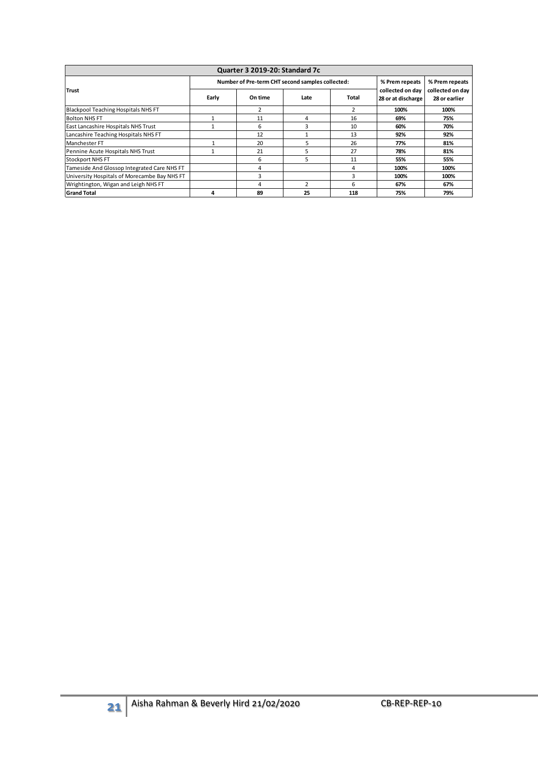| Quarter 3 2019-20: Standard 7c               |                                   |                                                  |                                        |                                   |                |                |  |  |  |  |
|----------------------------------------------|-----------------------------------|--------------------------------------------------|----------------------------------------|-----------------------------------|----------------|----------------|--|--|--|--|
|                                              |                                   | Number of Pre-term CHT second samples collected: |                                        |                                   | % Prem repeats | % Prem repeats |  |  |  |  |
| <b>Trust</b>                                 | Total<br>Early<br>On time<br>Late |                                                  | collected on day<br>28 or at discharge | collected on day<br>28 or earlier |                |                |  |  |  |  |
| Blackpool Teaching Hospitals NHS FT          |                                   |                                                  |                                        | 2                                 | 100%           | 100%           |  |  |  |  |
| <b>Bolton NHS FT</b>                         |                                   | 11                                               | 4                                      | 16                                | 69%            | 75%            |  |  |  |  |
| East Lancashire Hospitals NHS Trust          |                                   | 6                                                | 3                                      | 10                                | 60%            | 70%            |  |  |  |  |
| Lancashire Teaching Hospitals NHS FT         |                                   | 12                                               |                                        | 13                                | 92%            | 92%            |  |  |  |  |
| Manchester FT                                |                                   | 20                                               | 5                                      | 26                                | 77%            | 81%            |  |  |  |  |
| Pennine Acute Hospitals NHS Trust            |                                   | 21                                               | 5                                      | 27                                | 78%            | 81%            |  |  |  |  |
| <b>Stockport NHS FT</b>                      |                                   | 6                                                | 5                                      | 11                                | 55%            | 55%            |  |  |  |  |
| Tameside And Glossop Integrated Care NHS FT  |                                   | 4                                                |                                        | 4                                 | 100%           | 100%           |  |  |  |  |
| University Hospitals of Morecambe Bay NHS FT |                                   | 3                                                |                                        |                                   | 100%           | 100%           |  |  |  |  |
| Wrightington, Wigan and Leigh NHS FT         |                                   | 4                                                | $\mathcal{P}$                          | 6                                 | 67%            | 67%            |  |  |  |  |
| <b>Grand Total</b>                           | 4                                 | 89                                               | 25                                     | 118                               | 75%            | 79%            |  |  |  |  |